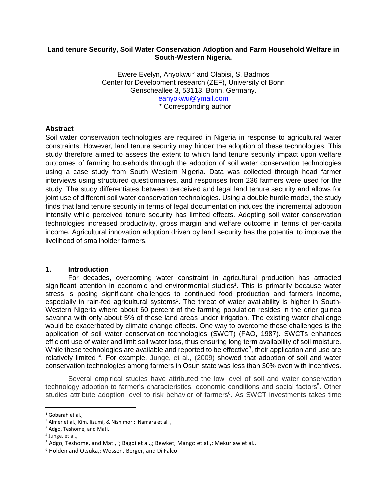## **Land tenure Security, Soil Water Conservation Adoption and Farm Household Welfare in South-Western Nigeria.**

Ewere Evelyn, Anyokwu\* and Olabisi, S. Badmos Center for Development research (ZEF), University of Bonn Genscheallee 3, 53113, Bonn, Germany. [eanyokwu@ymail.com](mailto:eanyokwu@ymail.com) \* Corresponding author

## **Abstract**

Soil water conservation technologies are required in Nigeria in response to agricultural water constraints. However, land tenure security may hinder the adoption of these technologies. This study therefore aimed to assess the extent to which land tenure security impact upon welfare outcomes of farming households through the adoption of soil water conservation technologies using a case study from South Western Nigeria. Data was collected through head farmer interviews using structured questionnaires, and responses from 236 farmers were used for the study. The study differentiates between perceived and legal land tenure security and allows for joint use of different soil water conservation technologies. Using a double hurdle model, the study finds that land tenure security in terms of legal documentation induces the incremental adoption intensity while perceived tenure security has limited effects. Adopting soil water conservation technologies increased productivity, gross margin and welfare outcome in terms of per-capita income. Agricultural innovation adoption driven by land security has the potential to improve the livelihood of smallholder farmers.

### **1. Introduction**

For decades, overcoming water constraint in agricultural production has attracted significant attention in economic and environmental studies<sup>1</sup>. This is primarily because water stress is posing significant challenges to continued food production and farmers income, especially in rain-fed agricultural systems<sup>2</sup>. The threat of water availability is higher in South-Western Nigeria where about 60 percent of the farming population resides in the drier guinea savanna with only about 5% of these land areas under irrigation. The existing water challenge would be exacerbated by climate change effects. One way to overcome these challenges is the application of soil water conservation technologies (SWCT) (FAO, 1987). SWCTs enhances efficient use of water and limit soil water loss, thus ensuring long term availability of soil moisture. While these technologies are available and reported to be effective<sup>3</sup>, their application and use are relatively limited <sup>4</sup>. For example, Junge, et al., (2009) showed that adoption of soil and water conservation technologies among farmers in Osun state was less than 30% even with incentives.

Several empirical studies have attributed the low level of soil and water conservation technology adoption to farmer's characteristics, economic conditions and social factors<sup>5</sup>. Other studies attribute adoption level to risk behavior of farmers<sup>6</sup>. As SWCT investments takes time

<sup>&</sup>lt;sup>1</sup> Gobarah et al.,

<sup>2</sup> Almer et al.; Kim, Iizumi, & Nishimori; Namara et al. ,

<sup>3</sup> Adgo, Teshome, and Mati,

<sup>4</sup> Junge, et al.,

<sup>&</sup>lt;sup>5</sup> Adgo, Teshome, and Mati,"; Bagdi et al.,; Bewket, Mango et al.,; Mekuriaw et al.,

<sup>6</sup> Holden and Otsuka,; Wossen, Berger, and Di Falco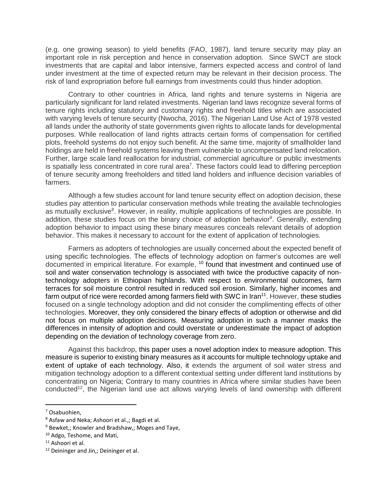(e.g. one growing season) to yield benefits (FAO, 1987), land tenure security may play an important role in risk perception and hence in conservation adoption. Since SWCT are stock investments that are capital and labor intensive, farmers expected access and control of land under investment at the time of expected return may be relevant in their decision process. The risk of land expropriation before full earnings from investments could thus hinder adoption.

Contrary to other countries in Africa, land rights and tenure systems in Nigeria are particularly significant for land related investments. Nigerian land laws recognize several forms of tenure rights including statutory and customary rights and freehold titles which are associated with varying levels of tenure security (Nwocha, 2016). The Nigerian Land Use Act of 1978 vested all lands under the authority of state governments given rights to allocate lands for developmental purposes. While reallocation of land rights attracts certain forms of compensation for certified plots, freehold systems do not enjoy such benefit. At the same time, majority of smallholder land holdings are held in freehold systems leaving them vulnerable to uncompensated land relocation. Further, large scale land reallocation for industrial, commercial agriculture or public investments is spatially less concentrated in core rural area<sup>7</sup>. These factors could lead to differing perception of tenure security among freeholders and titled land holders and influence decision variables of farmers.

Although a few studies account for land tenure security effect on adoption decision, these studies pay attention to particular conservation methods while treating the available technologies as mutually exclusive<sup>8</sup>. However, in reality, multiple applications of technologies are possible. In addition, these studies focus on the binary choice of adoption behavior<sup>9</sup>. Generally, extending adoption behavior to impact using these binary measures conceals relevant details of adoption behavior. This makes it necessary to account for the extent of application of technologies.

Farmers as adopters of technologies are usually concerned about the expected benefit of using specific technologies. The effects of technology adoption on farmer's outcomes are well documented in empirical literature. For example, <sup>10</sup> found that investment and continued use of soil and water conservation technology is associated with twice the productive capacity of nontechnology adopters in Ethiopian highlands. With respect to environmental outcomes, farm terraces for soil moisture control resulted in reduced soil erosion. Similarly, higher incomes and farm output of rice were recorded among farmers field with SWC in Iran<sup>11</sup>. However, these studies focused on a single technology adoption and did not consider the complimenting effects of other technologies. Moreover, they only considered the binary effects of adoption or otherwise and did not focus on multiple adoption decisions. Measuring adoption in such a manner masks the differences in intensity of adoption and could overstate or underestimate the impact of adoption depending on the deviation of technology coverage from zero.

Against this backdrop, this paper uses a novel adoption index to measure adoption. This measure is superior to existing binary measures as it accounts for multiple technology uptake and extent of uptake of each technology. Also, it extends the argument of soil water stress and mitigation technology adoption to a different contextual setting under different land institutions by concentrating on Nigeria; Contrary to many countries in Africa where similar studies have been conducted<sup>12</sup>, the Nigerian land use act allows varying levels of land ownership with different

<sup>7</sup> Osabuohien,

<sup>8</sup> Asfaw and Neka; Ashoori et al.,; Bagdi et al.

<sup>&</sup>lt;sup>9</sup> Bewket,; Knowler and Bradshaw,; Moges and Taye,

<sup>10</sup> Adgo, Teshome, and Mati,

<sup>&</sup>lt;sup>11</sup> Ashoori et al.

<sup>&</sup>lt;sup>12</sup> Deininger and Jin,; Deininger et al.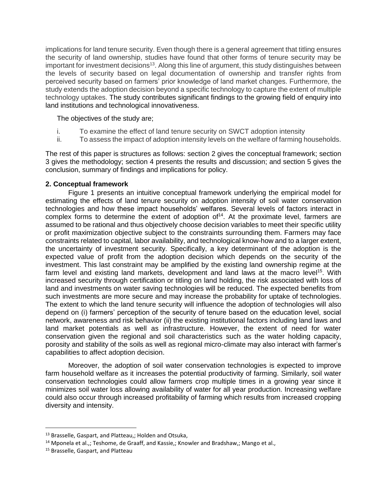implications for land tenure security. Even though there is a general agreement that titling ensures the security of land ownership, studies have found that other forms of tenure security may be important for investment decisions<sup>13</sup>. Along this line of argument, this study distinguishes between the levels of security based on legal documentation of ownership and transfer rights from perceived security based on farmers' prior knowledge of land market changes. Furthermore, the study extends the adoption decision beyond a specific technology to capture the extent of multiple technology uptakes. The study contributes significant findings to the growing field of enquiry into land institutions and technological innovativeness.

The objectives of the study are;

- i. To examine the effect of land tenure security on SWCT adoption intensity
- ii. To assess the impact of adoption intensity levels on the welfare of farming households.

The rest of this paper is structures as follows: section 2 gives the conceptual framework; section 3 gives the methodology; section 4 presents the results and discussion; and section 5 gives the conclusion, summary of findings and implications for policy.

## **2. Conceptual framework**

Figure 1 presents an intuitive conceptual framework underlying the empirical model for estimating the effects of land tenure security on adoption intensity of soil water conservation technologies and how these impact households' welfares. Several levels of factors interact in complex forms to determine the extent of adoption of<sup>14</sup>. At the proximate level, farmers are assumed to be rational and thus objectively choose decision variables to meet their specific utility or profit maximization objective subject to the constraints surrounding them. Farmers may face constraints related to capital, labor availability, and technological know-how and to a larger extent, the uncertainty of investment security. Specifically, a key determinant of the adoption is the expected value of profit from the adoption decision which depends on the security of the investment. This last constraint may be amplified by the existing land ownership regime at the farm level and existing land markets, development and land laws at the macro level<sup>15</sup>. With increased security through certification or titling on land holding, the risk associated with loss of land and investments on water saving technologies will be reduced. The expected benefits from such investments are more secure and may increase the probability for uptake of technologies. The extent to which the land tenure security will influence the adoption of technologies will also depend on (i) farmers' perception of the security of tenure based on the education level, social network, awareness and risk behavior (ii) the existing institutional factors including land laws and land market potentials as well as infrastructure. However, the extent of need for water conservation given the regional and soil characteristics such as the water holding capacity, porosity and stability of the soils as well as regional micro-climate may also interact with farmer's capabilities to affect adoption decision.

Moreover, the adoption of soil water conservation technologies is expected to improve farm household welfare as it increases the potential productivity of farming. Similarly, soil water conservation technologies could allow farmers crop multiple times in a growing year since it minimizes soil water loss allowing availability of water for all year production. Increasing welfare could also occur through increased profitability of farming which results from increased cropping diversity and intensity.

<sup>13</sup> Brasselle, Gaspart, and Platteau,; Holden and Otsuka,

<sup>&</sup>lt;sup>14</sup> Mponela et al.,; Teshome, de Graaff, and Kassie,; Knowler and Bradshaw,; Mango et al.,

<sup>&</sup>lt;sup>15</sup> Brasselle, Gaspart, and Platteau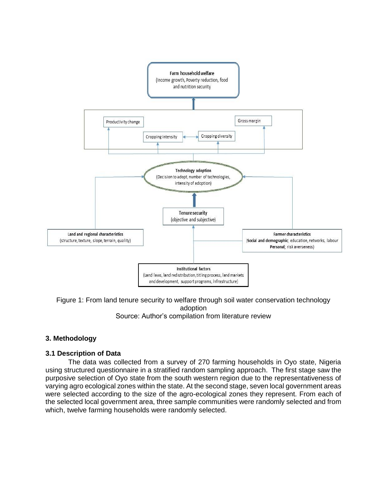



### Source: Author's compilation from literature review

# **3. Methodology**

# **3.1 Description of Data**

The data was collected from a survey of 270 farming households in Oyo state, Nigeria using structured questionnaire in a stratified random sampling approach. The first stage saw the purposive selection of Oyo state from the south western region due to the representativeness of varying agro ecological zones within the state. At the second stage, seven local government areas were selected according to the size of the agro-ecological zones they represent. From each of the selected local government area, three sample communities were randomly selected and from which, twelve farming households were randomly selected.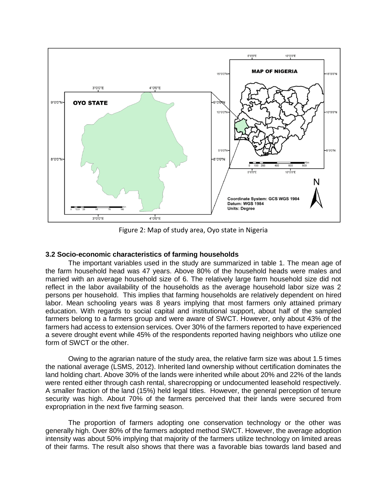

Figure 2: Map of study area, Oyo state in Nigeria

### **3.2 Socio-economic characteristics of farming households**

The important variables used in the study are summarized in table 1. The mean age of the farm household head was 47 years. Above 80% of the household heads were males and married with an average household size of 6. The relatively large farm household size did not reflect in the labor availability of the households as the average household labor size was 2 persons per household. This implies that farming households are relatively dependent on hired labor. Mean schooling years was 8 years implying that most farmers only attained primary education. With regards to social capital and institutional support, about half of the sampled farmers belong to a farmers group and were aware of SWCT. However, only about 43% of the farmers had access to extension services. Over 30% of the farmers reported to have experienced a severe drought event while 45% of the respondents reported having neighbors who utilize one form of SWCT or the other.

Owing to the agrarian nature of the study area, the relative farm size was about 1.5 times the national average (LSMS, 2012). Inherited land ownership without certification dominates the land holding chart. Above 30% of the lands were inherited while about 20% and 22% of the lands were rented either through cash rental, sharecropping or undocumented leasehold respectively. A smaller fraction of the land (15%) held legal titles. However, the general perception of tenure security was high. About 70% of the farmers perceived that their lands were secured from expropriation in the next five farming season.

The proportion of farmers adopting one conservation technology or the other was generally high. Over 80% of the farmers adopted method SWCT. However, the average adoption intensity was about 50% implying that majority of the farmers utilize technology on limited areas of their farms. The result also shows that there was a favorable bias towards land based and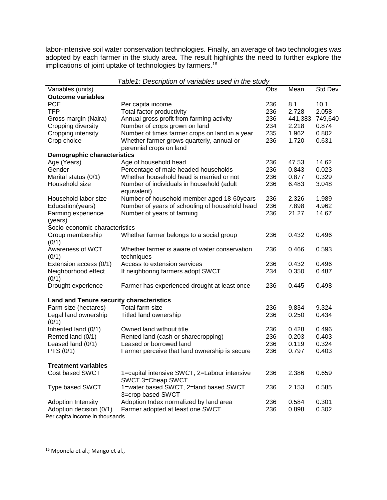labor-intensive soil water conservation technologies. Finally, an average of two technologies was adopted by each farmer in the study area. The result highlights the need to further explore the implications of joint uptake of technologies by farmers.<sup>16</sup>

| Variables (units)                               |                                                          | Obs. | Mean    | Std Dev |
|-------------------------------------------------|----------------------------------------------------------|------|---------|---------|
| <b>Outcome variables</b>                        |                                                          |      |         |         |
| <b>PCE</b>                                      | Per capita income                                        | 236  | 8.1     | 10.1    |
| <b>TFP</b>                                      | Total factor productivity                                | 236  | 2.728   | 2.058   |
| Gross margin (Naira)                            | Annual gross profit from farming activity                | 236  | 441,383 | 749,640 |
| Cropping diversity                              | Number of crops grown on land                            | 234  | 2.218   | 0.874   |
| Cropping intensity                              | Number of times farmer crops on land in a year           | 235  | 1.962   | 0.802   |
| Crop choice                                     | Whether farmer grows quarterly, annual or                | 236  | 1.720   | 0.631   |
|                                                 | perennial crops on land                                  |      |         |         |
| <b>Demographic characteristics</b>              |                                                          |      |         |         |
| Age (Years)                                     | Age of household head                                    | 236  | 47.53   | 14.62   |
| Gender                                          | Percentage of male headed households                     | 236  | 0.843   | 0.023   |
| Marital status (0/1)                            | Whether household head is married or not                 | 236  | 0.877   | 0.329   |
| Household size                                  | Number of individuals in household (adult<br>equivalent) | 236  | 6.483   | 3.048   |
| Household labor size                            | Number of household member aged 18-60years               | 236  | 2.326   | 1.989   |
| Education(years)                                | Number of years of schooling of household head           | 236  | 7.898   | 4.962   |
| Farming experience                              | Number of years of farming                               | 236  | 21.27   | 14.67   |
| (years)                                         |                                                          |      |         |         |
| Socio-economic characteristics                  |                                                          |      |         |         |
| Group membership                                | Whether farmer belongs to a social group                 | 236  | 0.432   | 0.496   |
| (0/1)                                           |                                                          |      |         |         |
| Awareness of WCT                                | Whether farmer is aware of water conservation            | 236  | 0.466   | 0.593   |
| (0/1)                                           | techniques                                               |      |         |         |
| Extension access (0/1)                          | Access to extension services                             | 236  | 0.432   | 0.496   |
| Neighborhood effect                             | If neighboring farmers adopt SWCT                        | 234  | 0.350   | 0.487   |
| (0/1)                                           |                                                          |      |         |         |
| Drought experience                              | Farmer has experienced drought at least once             | 236  | 0.445   | 0.498   |
| <b>Land and Tenure security characteristics</b> |                                                          |      |         |         |
| Farm size (hectares)                            | Total farm size                                          | 236  | 9.834   | 9.324   |
| Legal land ownership<br>(0/1)                   | Titled land ownership                                    | 236  | 0.250   | 0.434   |
| Inherited land (0/1)                            | Owned land without title                                 | 236  | 0.428   | 0.496   |
| Rented land (0/1)                               | Rented land (cash or sharecropping)                      | 236  | 0.203   | 0.403   |
| Leased land (0/1)                               | Leased or borrowed land                                  | 236  | 0.119   | 0.324   |
| PTS (0/1)                                       | Farmer perceive that land ownership is secure            | 236  | 0.797   | 0.403   |
| <b>Treatment variables</b>                      |                                                          |      |         |         |
| Cost based SWCT                                 | 1=capital intensive SWCT, 2=Labour intensive             | 236  | 2.386   | 0.659   |
|                                                 | SWCT 3=Cheap SWCT                                        |      |         |         |
| Type based SWCT                                 | 1=water based SWCT, 2=land based SWCT                    | 236  | 2.153   | 0.585   |
|                                                 | 3=crop based SWCT                                        |      |         |         |
| <b>Adoption Intensity</b>                       | Adoption Index normalized by land area                   | 236  | 0.584   | 0.301   |
| Adoption decision (0/1)                         | Farmer adopted at least one SWCT                         | 236  | 0.898   | 0.302   |

*Table1: Description of variables used in the study*

Per capita income in thousands

<sup>16</sup> Mponela et al.; Mango et al.,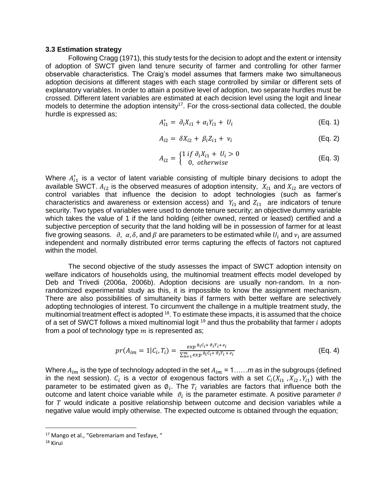#### **3.3 Estimation strategy**

Following Cragg (1971), this study tests for the decision to adopt and the extent or intensity of adoption of SWCT given land tenure security of farmer and controlling for other farmer observable characteristics. The Craig's model assumes that farmers make two simultaneous adoption decisions at different stages with each stage controlled by similar or different sets of explanatory variables. In order to attain a positive level of adoption, two separate hurdles must be crossed. Different latent variables are estimated at each decision level using the logit and linear models to determine the adoption intensity<sup>17</sup>. For the cross-sectional data collected, the double hurdle is expressed as;

$$
A_{i1}^* = \partial_i X_{i1} + \alpha_i Y_{i1} + U_i
$$
 (Eq. 1)

$$
A_{i2} = \delta X_{i2} + \beta_i Z_{i1} + \nu_i
$$
 (Eq. 2)

$$
A_{i2} = \begin{cases} 1 \text{ if } \partial_i X_{i1} + U_i > 0 \\ 0, \text{ otherwise} \end{cases}
$$
 (Eq. 3)

Where  $A_{i1}^*$  is a vector of latent variable consisting of multiple binary decisions to adopt the available SWCT.  $A_{i2}$  is the observed measures of adoption intensity,  $X_{i1}$  and  $X_{i2}$  are vectors of control variables that influence the decision to adopt technologies (such as farmer's characteristics and awareness or extension access) and  $Y_{i1}$  and  $Z_{i1}$  are indicators of tenure security. Two types of variables were used to denote tenure security; an objective dummy variable which takes the value of 1 if the land holding (either owned, rented or leased) certified and a subjective perception of security that the land holding will be in possession of farmer for at least five growing seasons.  $\partial$ ,  $\alpha$ ,  $\delta$ , and  $\beta$  are parameters to be estimated while  $U_i$  and  $v_i$  are assumed independent and normally distributed error terms capturing the effects of factors not captured within the model.

The second objective of the study assesses the impact of SWCT adoption intensity on welfare indicators of households using, the multinomial treatment effects model developed by Deb and Trivedi (2006a, 2006b). Adoption decisions are usually non-random. In a nonrandomized experimental study as this, it is impossible to know the assignment mechanism. There are also possibilities of simultaneity bias if farmers with better welfare are selectively adopting technologies of interest. To circumvent the challenge in a multiple treatment study, the multinomial treatment effect is adopted <sup>18</sup>. To estimate these impacts, it is assumed that the choice of a set of SWCT follows a mixed multinomial logit  $19$  and thus the probability that farmer i adopts from a pool of technology type  $m$  is represented as;

$$
pr(A_{im} = 1 | C_i, T_i) = \frac{\exp^{\phi_i C_i + \phi_i T_i + e_i}}{\sum_{n=1}^{m} \exp^{\phi_i C_i + \phi_i T_i + e_i}}
$$
(Eq. 4)

Where  $A_{im}$  is the type of technology adopted in the set  $A_{im} = 1, \ldots, m$  as in the subgroups (defined in the next session).  $C_i$  is a vector of exogenous factors with a set  $C_i(X_{i1}, X_{i2}, Y_{i1})$  with the parameter to be estimated given as  $\emptyset_i$ . The  $T_i$  variables are factors that influence both the outcome and latent choice variable while  $\vartheta_i$  is the parameter estimate. A positive parameter  $\vartheta$ for  $T$  would indicate a positive relationship between outcome and decision variables while a negative value would imply otherwise. The expected outcome is obtained through the equation;

<sup>&</sup>lt;sup>17</sup> Mango et al., "Gebremariam and Tesfaye, "

<sup>18</sup> Kirui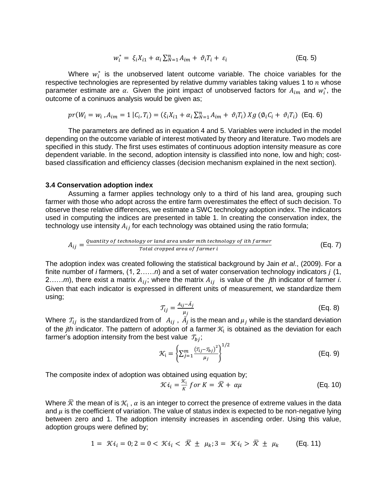$$
w_i^* = \xi_i X_{i1} + \alpha_i \sum_{N=1}^n A_{im} + \vartheta_i T_i + \varepsilon_i
$$
 (Eq. 5)

Where  $w_i^*$  is the unobserved latent outcome variable. The choice variables for the respective technologies are represented by relative dummy variables taking values 1 to  $n$  whose parameter estimate are  $\alpha$ . Given the joint impact of unobserved factors for  $A_{im}$  and  $w_i^*$ , the outcome of a coninuos analysis would be given as;

$$
pr(W_i = w_i, A_{im} = 1 | C_i, T_i) = (\xi_i X_{i1} + \alpha_i \sum_{N=1}^n A_{im} + \vartheta_i T_i) Xg (\varphi_i C_i + \vartheta_i T_i)
$$
 (Eq. 6)

The parameters are defined as in equation 4 and 5. Variables were included in the model depending on the outcome variable of interest motivated by theory and literature. Two models are specified in this study. The first uses estimates of continuous adoption intensity measure as core dependent variable. In the second, adoption intensity is classified into none, low and high; costbased classification and efficiency classes (decision mechanism explained in the next section).

#### **3.4 Conservation adoption index**

Assuming a farmer applies technology only to a third of his land area, grouping such farmer with those who adopt across the entire farm overestimates the effect of such decision. To observe these relative differences, we estimate a SWC technology adoption index. The indicators used in computing the indices are presented in table 1. In creating the conservation index, the technology use intensity  $A_{ij}$  for each technology was obtained using the ratio formula;

$$
A_{ij} = \frac{Quantity \ of \ technology \ or \ land \ area \ under \ mth \ technology \ of \ ith \ farmer}{Total \ dropped \ area \ of \ farmer \ i}
$$
 (Eq. 7)

The adoption index was created following the statistical background by Jain *et al*., (2009). For a finite number of *i* farmers, (1, 2……*n*) and a set of water conservation technology indicators (1, 2.....*m*), there exist a matrix  $A_{ij}$ ; where the matrix  $A_{ij}$  is value of the *j*th indicator of farmer *i*. Given that each indicator is expressed in different units of measurement, we standardize them using;

$$
T_{ij} = \frac{A_{ij} - \bar{A}_j}{\mu_j} \tag{Eq. 8}
$$

Where  $\,\mathcal{T}_{ij}\,$  is the standardized from of  $\,\,A_{ij}$  ,  $\,\bar{A_j}$  is the mean and  $\mu_j$  while is the standard deviation of the *jth* indicator. The pattern of adoption of a farmer  $\mathcal{K}_{i}$  is obtained as the deviation for each farmer's adoption intensity from the best value  $T_{bi}$ ;  $\frac{1}{2}$ 

$$
\mathcal{K}_{i} = \left\{ \sum_{j=1}^{m} \frac{(\tau_{ij} - \tau_{bj})^{2}}{\mu_{j}} \right\}^{1/2}
$$
 (Eq. 9)

The composite index of adoption was obtained using equation by;

$$
\mathcal{K}i_i = \frac{\mathcal{K}_i}{K} \text{ for } K = \overline{\mathcal{K}} + \alpha \mu \tag{Eq. 10}
$$

Where  $\bar{\mathcal{K}}$  the mean of is  $\mathcal{K}_\mathfrak{i}$  ,  $\alpha$  is an integer to correct the presence of extreme values in the data and  $\mu$  is the coefficient of variation. The value of status index is expected to be non-negative lying between zero and 1. The adoption intensity increases in ascending order. Using this value, adoption groups were defined by;

$$
1 = \mathcal{K}i_i = 0; 2 = 0 < \mathcal{K}i_i < \bar{\mathcal{K}} \pm \mu_k; 3 = \mathcal{K}i_i > \bar{\mathcal{K}} \pm \mu_k \qquad \text{(Eq. 11)}
$$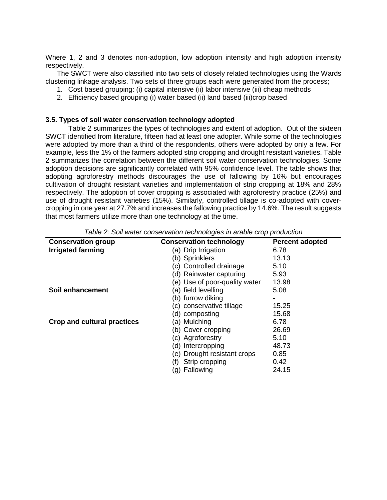Where 1, 2 and 3 denotes non-adoption, low adoption intensity and high adoption intensity respectively.

The SWCT were also classified into two sets of closely related technologies using the Wards clustering linkage analysis. Two sets of three groups each were generated from the process;

- 1. Cost based grouping: (i) capital intensive (ii) labor intensive (iii) cheap methods
- 2. Efficiency based grouping (i) water based (ii) land based (iii)crop based

#### **3.5. Types of soil water conservation technology adopted**

Table 2 summarizes the types of technologies and extent of adoption. Out of the sixteen SWCT identified from literature, fifteen had at least one adopter. While some of the technologies were adopted by more than a third of the respondents, others were adopted by only a few. For example, less the 1% of the farmers adopted strip cropping and drought resistant varieties. Table 2 summarizes the correlation between the different soil water conservation technologies. Some adoption decisions are significantly correlated with 95% confidence level. The table shows that adopting agroforestry methods discourages the use of fallowing by 16% but encourages cultivation of drought resistant varieties and implementation of strip cropping at 18% and 28% respectively. The adoption of cover cropping is associated with agroforestry practice (25%) and use of drought resistant varieties (15%). Similarly, controlled tillage is co-adopted with covercropping in one year at 27.7% and increases the fallowing practice by 14.6%. The result suggests that most farmers utilize more than one technology at the time.

| <b>Conservation group</b>   | <u>kid Er Odir Mater denoemaaen teorinologied in arakid erep proakoaen</u><br><b>Conservation technology</b> | <b>Percent adopted</b> |
|-----------------------------|--------------------------------------------------------------------------------------------------------------|------------------------|
| <b>Irrigated farming</b>    | (a) Drip Irrigation                                                                                          | 6.78                   |
|                             |                                                                                                              |                        |
|                             | (b) Sprinklers                                                                                               | 13.13                  |
|                             | (c) Controlled drainage                                                                                      | 5.10                   |
|                             | (d) Rainwater capturing                                                                                      | 5.93                   |
|                             | (e) Use of poor-quality water                                                                                | 13.98                  |
| Soil enhancement            | (a) field levelling                                                                                          | 5.08                   |
|                             | (b) furrow diking                                                                                            |                        |
|                             | (c) conservative tillage                                                                                     | 15.25                  |
|                             | (d) composting                                                                                               | 15.68                  |
| Crop and cultural practices | (a) Mulching                                                                                                 | 6.78                   |
|                             | (b) Cover cropping                                                                                           | 26.69                  |
|                             | (c) Agroforestry                                                                                             | 5.10                   |
|                             | (d) Intercropping                                                                                            | 48.73                  |
|                             | Drought resistant crops<br>e).                                                                               | 0.85                   |
|                             | Strip cropping<br>(f)                                                                                        | 0.42                   |
|                             | Fallowing<br>(g)                                                                                             | 24.15                  |

*Table 2: Soil water conservation technologies in arable crop production*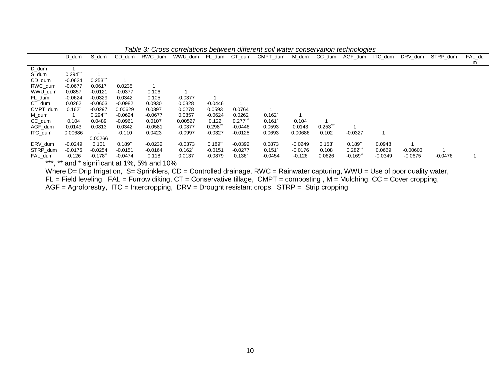|          | D dum       | S dum     | CD dum      | RWC dum   | WWU dum              | FL dum      | CT dum      | CMPT_dum             | M_dum     | CC_dum               | AGF dum               | ITC dum   | DRV dum    | STRP dum  | FAL du |
|----------|-------------|-----------|-------------|-----------|----------------------|-------------|-------------|----------------------|-----------|----------------------|-----------------------|-----------|------------|-----------|--------|
|          |             |           |             |           |                      |             |             |                      |           |                      |                       |           |            |           | m      |
| D dum    |             |           |             |           |                      |             |             |                      |           |                      |                       |           |            |           |        |
| S_dum    | $0.294$ *** |           |             |           |                      |             |             |                      |           |                      |                       |           |            |           |        |
| CD_dum   | $-0.0624$   | 0.253     |             |           |                      |             |             |                      |           |                      |                       |           |            |           |        |
| RWC dum  | $-0.0677$   | 0.0617    | 0.0235      |           |                      |             |             |                      |           |                      |                       |           |            |           |        |
| WWU dum  | 0.0857      | $-0.0121$ | $-0.0377$   | 0.106     |                      |             |             |                      |           |                      |                       |           |            |           |        |
| FL_dum   | $-0.0624$   | $-0.0329$ | 0.0342      | 0.105     | $-0.0377$            |             |             |                      |           |                      |                       |           |            |           |        |
| CT dum   | 0.0262      | $-0.0603$ | $-0.0982$   | 0.0930    | 0.0328               | $-0.0446$   |             |                      |           |                      |                       |           |            |           |        |
| CMPT dum | 0.162       | $-0.0297$ | 0.00629     | 0.0397    | 0.0278               | 0.0593      | 0.0764      |                      |           |                      |                       |           |            |           |        |
| M_dum    |             | 0.294"    | $-0.0624$   | $-0.0677$ | 0.0857               | $-0.0624$   | 0.0262      | $0.162$ <sup>*</sup> |           |                      |                       |           |            |           |        |
| CC_dum   | 0.104       | 0.0489    | $-0.0961$   | 0.0107    | 0.00527              | 0.122       | 0.277       | 0.161                | 0.104     |                      |                       |           |            |           |        |
| AGF_dum  | 0.0143      | 0.0813    | 0.0342      | $-0.0581$ | $-0.0377$            | $0.298^{n}$ | -0.0446     | 0.0593               | 0.0143    | $0.253$ ***          |                       |           |            |           |        |
| ITC_dum  | 0.00686     |           | $-0.110$    | 0.0423    | $-0.0997$            | $-0.0327$   | $-0.0128$   | 0.0693               | 0.00686   | 0.102                | $-0.0327$             |           |            |           |        |
|          |             | 0.00266   |             |           |                      |             |             |                      |           |                      |                       |           |            |           |        |
| DRV dum  | $-0.0249$   | 0.101     | $0.189^{*}$ | $-0.0232$ | $-0.0373$            | 0.189"      | $-0.0392$   | 0.0873               | $-0.0249$ | $0.153$ <sup>*</sup> | $0.189^{n}$           | 0.0948    |            |           |        |
| STRP dum | $-0.0176$   | $-0.0254$ | $-0.0151$   | $-0.0164$ | $0.162$ <sup>*</sup> | $-0.0151$   | $-0.0277$   | 0.151                | $-0.0176$ | 0.108                | 0.282                 | 0.0669    | $-0.00603$ |           |        |
| FAL_dum  | $-0.126$    | $-0.178$  | $-0.0474$   | 0.118     | 0.0137               | $-0.0879$   | $0.136^{r}$ | $-0.0454$            | $-0.126$  | 0.0626               | $-0.169$ <sup>*</sup> | $-0.0349$ | $-0.0675$  | $-0.0476$ |        |

*Table 3: Cross correlations between different soil water conservation technologies*

\*\*\*, \*\* and \* significant at 1%, 5% and 10%

Where D= Drip Irrigation, S= Sprinklers, CD = Controlled drainage, RWC = Rainwater capturing, WWU = Use of poor quality water,

 $FL = Field$  leveling,  $FAL = Furrow$  diking,  $CT = \text{Conservative}$  tillage,  $CMPT = \text{composting}$ ,  $M = \text{Mulching}$ ,  $CC = \text{Cover}$  cropping,

 $AGF = Agroforestry, ITC = Intercropping, DRV = Drought resistant crops, STRP = String cropping$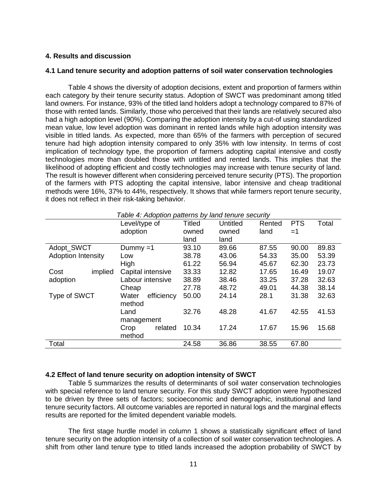## **4. Results and discussion**

### **4.1 Land tenure security and adoption patterns of soil water conservation technologies**

Table 4 shows the diversity of adoption decisions, extent and proportion of farmers within each category by their tenure security status. Adoption of SWCT was predominant among titled land owners. For instance, 93% of the titled land holders adopt a technology compared to 87% of those with rented lands. Similarly, those who perceived that their lands are relatively secured also had a high adoption level (90%). Comparing the adoption intensity by a cut-of using standardized mean value, low level adoption was dominant in rented lands while high adoption intensity was visible in titled lands. As expected, more than 65% of the farmers with perception of secured tenure had high adoption intensity compared to only 35% with low intensity. In terms of cost implication of technology type, the proportion of farmers adopting capital intensive and costly technologies more than doubled those with untitled and rented lands. This implies that the likelihood of adopting efficient and costly technologies may increase with tenure security of land. The result is however different when considering perceived tenure security (PTS). The proportion of the farmers with PTS adopting the capital intensive, labor intensive and cheap traditional methods were 16%, 37% to 44%, respectively. It shows that while farmers report tenure security, it does not reflect in their risk-taking behavior.

|                           | Table 4: Adoption patterns by land tenure security |               |                 |        |            |       |  |
|---------------------------|----------------------------------------------------|---------------|-----------------|--------|------------|-------|--|
|                           | Level/type of                                      | <b>Titled</b> | <b>Untitled</b> | Rented | <b>PTS</b> | Total |  |
|                           | adoption                                           | owned         | owned           | land   | $=1$       |       |  |
|                           |                                                    | land          | land            |        |            |       |  |
| Adopt SWCT                | Dummy $=1$                                         | 93.10         | 89.66           | 87.55  | 90.00      | 89.83 |  |
| <b>Adoption Intensity</b> | Low                                                | 38.78         | 43.06           | 54.33  | 35.00      | 53.39 |  |
|                           | High                                               | 61.22         | 56.94           | 45.67  | 62.30      | 23.73 |  |
| implied<br>Cost           | Capital intensive                                  | 33.33         | 12.82           | 17.65  | 16.49      | 19.07 |  |
| adoption                  | Labour intensive                                   | 38.89         | 38.46           | 33.25  | 37.28      | 32.63 |  |
|                           | Cheap                                              | 27.78         | 48.72           | 49.01  | 44.38      | 38.14 |  |
| Type of SWCT              | Water<br>efficiency                                | 50.00         | 24.14           | 28.1   | 31.38      | 32.63 |  |
|                           | method                                             |               |                 |        |            |       |  |
|                           | Land                                               | 32.76         | 48.28           | 41.67  | 42.55      | 41.53 |  |
|                           | management                                         |               |                 |        |            |       |  |
|                           | related<br>Crop                                    | 10.34         | 17.24           | 17.67  | 15.96      | 15.68 |  |
|                           | method                                             |               |                 |        |            |       |  |
| Total                     |                                                    | 24.58         | 36.86           | 38.55  | 67.80      |       |  |

*Table 4: Adoption patterns by land tenure security*

### **4.2 Effect of land tenure security on adoption intensity of SWCT**

Table 5 summarizes the results of determinants of soil water conservation technologies with special reference to land tenure security. For this study SWCT adoption were hypothesized to be driven by three sets of factors; socioeconomic and demographic, institutional and land tenure security factors. All outcome variables are reported in natural logs and the marginal effects results are reported for the limited dependent variable models.

The first stage hurdle model in column 1 shows a statistically significant effect of land tenure security on the adoption intensity of a collection of soil water conservation technologies. A shift from other land tenure type to titled lands increased the adoption probability of SWCT by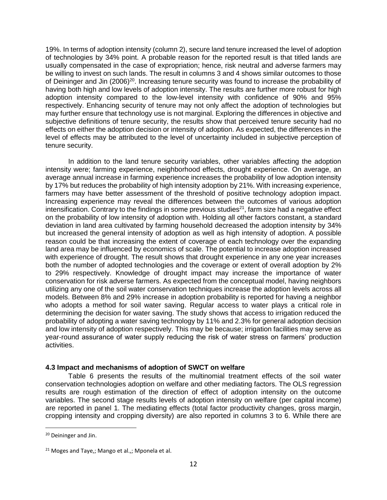19%. In terms of adoption intensity (column 2), secure land tenure increased the level of adoption of technologies by 34% point. A probable reason for the reported result is that titled lands are usually compensated in the case of expropriation; hence, risk neutral and adverse farmers may be willing to invest on such lands. The result in columns 3 and 4 shows similar outcomes to those of Deininger and Jin (2006)<sup>20</sup>. Increasing tenure security was found to increase the probability of having both high and low levels of adoption intensity. The results are further more robust for high adoption intensity compared to the low-level intensity with confidence of 90% and 95% respectively. Enhancing security of tenure may not only affect the adoption of technologies but may further ensure that technology use is not marginal. Exploring the differences in objective and subjective definitions of tenure security, the results show that perceived tenure security had no effects on either the adoption decision or intensity of adoption. As expected, the differences in the level of effects may be attributed to the level of uncertainty included in subjective perception of tenure security.

In addition to the land tenure security variables, other variables affecting the adoption intensity were; farming experience, neighborhood effects, drought experience. On average, an average annual increase in farming experience increases the probability of low adoption intensity by 17% but reduces the probability of high intensity adoption by 21%. With increasing experience, farmers may have better assessment of the threshold of positive technology adoption impact. Increasing experience may reveal the differences between the outcomes of various adoption intensification. Contrary to the findings in some previous studies<sup>21</sup>, farm size had a negative effect on the probability of low intensity of adoption with. Holding all other factors constant, a standard deviation in land area cultivated by farming household decreased the adoption intensity by 34% but increased the general intensity of adoption as well as high intensity of adoption. A possible reason could be that increasing the extent of coverage of each technology over the expanding land area may be influenced by economics of scale. The potential to increase adoption increased with experience of drought. The result shows that drought experience in any one year increases both the number of adopted technologies and the coverage or extent of overall adoption by 2% to 29% respectively. Knowledge of drought impact may increase the importance of water conservation for risk adverse farmers. As expected from the conceptual model, having neighbors utilizing any one of the soil water conservation techniques increase the adoption levels across all models. Between 8% and 29% increase in adoption probability is reported for having a neighbor who adopts a method for soil water saving. Regular access to water plays a critical role in determining the decision for water saving. The study shows that access to irrigation reduced the probability of adopting a water saving technology by 11% and 2.3% for general adoption decision and low intensity of adoption respectively. This may be because; irrigation facilities may serve as year-round assurance of water supply reducing the risk of water stress on farmers' production activities.

# **4.3 Impact and mechanisms of adoption of SWCT on welfare**

Table 6 presents the results of the multinomial treatment effects of the soil water conservation technologies adoption on welfare and other mediating factors. The OLS regression results are rough estimation of the direction of effect of adoption intensity on the outcome variables. The second stage results levels of adoption intensity on welfare (per capital income) are reported in panel 1. The mediating effects (total factor productivity changes, gross margin, cropping intensity and cropping diversity) are also reported in columns 3 to 6. While there are

<sup>20</sup> Deininger and Jin.

<sup>&</sup>lt;sup>21</sup> Moges and Taye,; Mango et al.,; Mponela et al.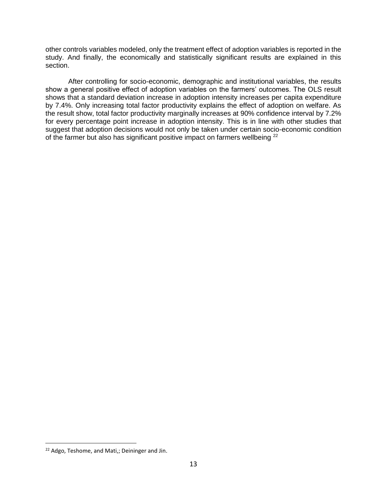other controls variables modeled, only the treatment effect of adoption variables is reported in the study. And finally, the economically and statistically significant results are explained in this section.

After controlling for socio-economic, demographic and institutional variables, the results show a general positive effect of adoption variables on the farmers' outcomes. The OLS result shows that a standard deviation increase in adoption intensity increases per capita expenditure by 7.4%. Only increasing total factor productivity explains the effect of adoption on welfare. As the result show, total factor productivity marginally increases at 90% confidence interval by 7.2% for every percentage point increase in adoption intensity. This is in line with other studies that suggest that adoption decisions would not only be taken under certain socio-economic condition of the farmer but also has significant positive impact on farmers wellbeing <sup>22</sup>

<sup>&</sup>lt;sup>22</sup> Adgo, Teshome, and Mati,; Deininger and Jin.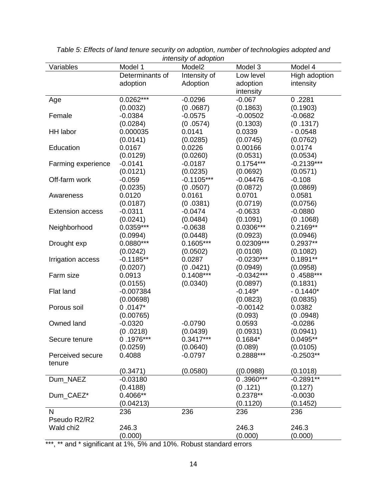| Variables               | Model 1         | Model <sub>2</sub> | Model 3      | Model 4       |
|-------------------------|-----------------|--------------------|--------------|---------------|
|                         | Determinants of | Intensity of       | Low level    | High adoption |
|                         | adoption        | Adoption           | adoption     | intensity     |
|                         |                 |                    | intensity    |               |
| Age                     | $0.0262***$     | $-0.0296$          | $-0.067$     | 0.2281        |
|                         | (0.0032)        | (0.0687)           | (0.1863)     | (0.1903)      |
| Female                  | $-0.0384$       | $-0.0575$          | $-0.00502$   | $-0.0682$     |
|                         | (0.0284)        | (0.0574)           | (0.1303)     | (0.1317)      |
| <b>HH</b> labor         | 0.000035        | 0.0141             | 0.0339       | $-0.0548$     |
|                         | (0.0141)        | (0.0285)           | (0.0745)     | (0.0762)      |
| Education               | 0.0167          | 0.0226             | 0.00166      | 0.0174        |
|                         | (0.0129)        | (0.0260)           | (0.0531)     | (0.0534)      |
| Farming experience      | $-0.0141$       | $-0.0187$          | $0.1754***$  | $-0.2139***$  |
|                         | (0.0121)        | (0.0235)           | (0.0692)     | (0.0571)      |
| Off-farm work           | $-0.059$        | $-0.1105***$       | $-0.04476$   | $-0.108$      |
|                         | (0.0235)        | (0.0507)           | (0.0872)     | (0.0869)      |
| Awareness               | 0.0120          | 0.0161             | 0.0701       | 0.0581        |
|                         | (0.0187)        | (0.0381)           | (0.0719)     | (0.0756)      |
| <b>Extension access</b> | $-0.0311$       | $-0.0474$          | $-0.0633$    | $-0.0880$     |
|                         | (0.0241)        | (0.0484)           | (0.1091)     | (0.1068)      |
| Neighborhood            | 0.0359***       | $-0.0638$          | $0.0306***$  | $0.2169**$    |
|                         | (0.0994)        | (0.0448)           | (0.0923)     | (0.0946)      |
| Drought exp             | $0.0880***$     | $0.1605***$        | 0.02309***   | $0.2937**$    |
|                         | (0.0242)        | (0.0502)           | (0.0108)     | (0.1082)      |
| Irrigation access       | $-0.1185**$     | 0.0287             | $-0.0230***$ | $0.1891**$    |
|                         | (0.0207)        | (0.0421)           | (0.0949)     | (0.0958)      |
| Farm size               | 0.0913          | $0.1408***$        | $-0.0342***$ | $0.4588***$   |
|                         | (0.0155)        | (0.0340)           | (0.0897)     | (0.1831)      |
| Flat land               | $-0.007384$     |                    | $-0.149*$    | $-0.1440*$    |
|                         | (0.00698)       |                    | (0.0823)     | (0.0835)      |
| Porous soil             | $0.0147*$       |                    | $-0.00142$   | 0.0382        |
|                         | (0.00765)       |                    | (0.093)      | (0.0948)      |
| Owned land              | $-0.0320$       | $-0.0790$          | 0.0593       | $-0.0286$     |
|                         | (0.0218)        | (0.0439)           | (0.0931)     | (0.0941)      |
| Secure tenure           | $0.1976***$     | $0.3417***$        | $0.1684*$    | $0.0495**$    |
|                         | (0.0259)        | (0.0640)           | (0.089)      | (0.0105)      |
| Perceived secure        | 0.4088          | $-0.0797$          | 0.2888***    | $-0.2503**$   |
| tenure                  |                 |                    |              |               |
|                         | (0.3471)        | (0.0580)           | ((0.0988))   | (0.1018)      |
| Dum_NAEZ                | $-0.03180$      |                    | $0.3960***$  | $-0.2891**$   |
|                         | (0.4188)        |                    | (0.121)      | (0.127)       |
| Dum_CAEZ*               | $0.4066**$      |                    | $0.2378**$   | $-0.0030$     |
|                         | (0.04213)       |                    | (0.1120)     | (0.1452)      |
| N                       | 236             | 236                | 236          | 236           |
| Pseudo R2/R2            |                 |                    |              |               |
| Wald chi <sub>2</sub>   | 246.3           |                    | 246.3        | 246.3         |
|                         | (0.000)         |                    | (0.000)      | (0.000)       |

| Table 5: Effects of land tenure security on adoption, number of technologies adopted and |  |
|------------------------------------------------------------------------------------------|--|
| <i>intensity of adoption</i>                                                             |  |

\*\*\*, \*\* and \* significant at 1%, 5% and 10%. Robust standard errors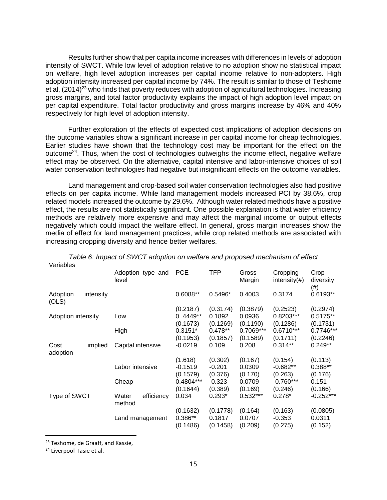Results further show that per capita income increases with differences in levels of adoption intensity of SWCT. While low level of adoption relative to no adoption show no statistical impact on welfare, high level adoption increases per capital income relative to non-adopters. High adoption intensity increased per capital income by 74%. The result is similar to those of Teshome et al, (2014)<sup>23</sup> who finds that poverty reduces with adoption of agricultural technologies. Increasing gross margins, and total factor productivity explains the impact of high adoption level impact on per capital expenditure. Total factor productivity and gross margins increase by 46% and 40% respectively for high level of adoption intensity.

Further exploration of the effects of expected cost implications of adoption decisions on the outcome variables show a significant increase in per capital income for cheap technologies. Earlier studies have shown that the technology cost may be important for the effect on the outcome<sup>24</sup>. Thus, when the cost of technologies outweighs the income effect, negative welfare effect may be observed. On the alternative, capital intensive and labor-intensive choices of soil water conservation technologies had negative but insignificant effects on the outcome variables.

Land management and crop-based soil water conservation technologies also had positive effects on per capita income. While land management models increased PCI by 38.6%, crop related models increased the outcome by 29.6%. Although water related methods have a positive effect, the results are not statistically significant. One possible explanation is that water efficiency methods are relatively more expensive and may affect the marginal income or output effects negatively which could impact the welfare effect. In general, gross margin increases show the media of effect for land management practices, while crop related methods are associated with increasing cropping diversity and hence better welfares.

| Variables          |           |                               |            |            |                 |                              |                   |
|--------------------|-----------|-------------------------------|------------|------------|-----------------|------------------------------|-------------------|
|                    |           | Adoption type and<br>level    | <b>PCE</b> | <b>TFP</b> | Gross<br>Margin | Cropping<br>intensity $(\#)$ | Crop<br>diversity |
| Adoption<br>(OLS)  | intensity |                               | 0.6088**   | $0.5496*$  | 0.4003          | 0.3174                       | (#)<br>$0.6193**$ |
|                    |           |                               | (0.2187)   | (0.3174)   | (0.3879)        | (0.2523)                     | (0.2974)          |
| Adoption intensity |           | Low                           | $0.4449**$ | 0.1892     | 0.0936          | 0.8203***                    | $0.5175**$        |
|                    |           |                               | (0.1673)   | (0.1269)   | (0.1190)        | (0.1286)                     | (0.1731)          |
|                    |           | High                          | $0.3151*$  | $0.478**$  | 0.7069***       | $0.6710***$                  | 0.7746***         |
|                    |           |                               | (0.1953)   | (0.1857)   | (0.1589)        | (0.1711)                     | (0.2246)          |
| Cost<br>adoption   | implied   | Capital intensive             | $-0.0219$  | 0.109      | 0.208           | $0.314**$                    | $0.249**$         |
|                    |           |                               | (1.618)    | (0.302)    | (0.167)         | (0.154)                      | (0.113)           |
|                    |           | Labor intensive               | $-0.1519$  | $-0.201$   | 0.0309          | $-0.682**$                   | $0.388**$         |
|                    |           |                               | (0.1579)   | (0.376)    | (0.170)         | (0.263)                      | (0.176)           |
|                    |           | Cheap                         | 0.4804***  | $-0.323$   | 0.0709          | $-0.760***$                  | 0.151             |
|                    |           |                               | (0.1644)   | (0.389)    | (0.169)         | (0.246)                      | (0.166)           |
| Type of SWCT       |           | efficiency<br>Water<br>method | 0.034      | $0.293*$   | $0.532***$      | $0.278*$                     | $-0.252***$       |
|                    |           |                               | (0.1632)   | (0.1778)   | (0.164)         | (0.163)                      | (0.0805)          |
|                    |           | Land management               | 0.386**    | 0.1817     | 0.0707          | $-0.353$                     | 0.0311            |
|                    |           |                               | (0.1486)   | (0.1458)   | (0.209)         | (0.275)                      | (0.152)           |

*Table 6: Impact of SWCT adoption on welfare and proposed mechanism of effect*

<sup>&</sup>lt;sup>23</sup> Teshome, de Graaff, and Kassie,

<sup>&</sup>lt;sup>24</sup> Liverpool-Tasie et al.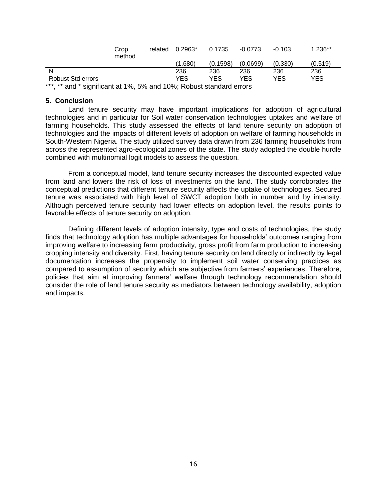|                   | Crop<br>method | related | $0.2963*$ | 0.1735   | $-0.0773$ | $-0.103$   | $.236**$ |  |
|-------------------|----------------|---------|-----------|----------|-----------|------------|----------|--|
|                   |                |         | (1.680)   | (0.1598) | (0.0699)  | (0.330)    | (0.519)  |  |
| N                 |                |         | 236       | 236      | 236       | 236        | 236      |  |
| Robust Std errors |                |         | YES       | YES      | YES       | <b>YES</b> | YES      |  |
|                   |                |         |           |          |           |            |          |  |

\*\*\*, \*\* and \* significant at 1%, 5% and 10%; Robust standard errors

## **5. Conclusion**

Land tenure security may have important implications for adoption of agricultural technologies and in particular for Soil water conservation technologies uptakes and welfare of farming households. This study assessed the effects of land tenure security on adoption of technologies and the impacts of different levels of adoption on welfare of farming households in South-Western Nigeria. The study utilized survey data drawn from 236 farming households from across the represented agro-ecological zones of the state. The study adopted the double hurdle combined with multinomial logit models to assess the question.

From a conceptual model, land tenure security increases the discounted expected value from land and lowers the risk of loss of investments on the land. The study corroborates the conceptual predictions that different tenure security affects the uptake of technologies. Secured tenure was associated with high level of SWCT adoption both in number and by intensity. Although perceived tenure security had lower effects on adoption level, the results points to favorable effects of tenure security on adoption.

Defining different levels of adoption intensity, type and costs of technologies, the study finds that technology adoption has multiple advantages for households' outcomes ranging from improving welfare to increasing farm productivity, gross profit from farm production to increasing cropping intensity and diversity. First, having tenure security on land directly or indirectly by legal documentation increases the propensity to implement soil water conserving practices as compared to assumption of security which are subjective from farmers' experiences. Therefore, policies that aim at improving farmers' welfare through technology recommendation should consider the role of land tenure security as mediators between technology availability, adoption and impacts.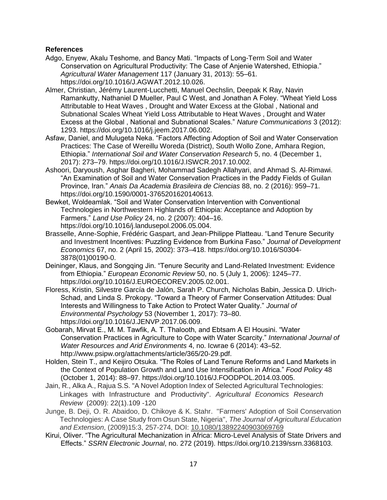## **References**

- Adgo, Enyew, Akalu Teshome, and Bancy Mati. "Impacts of Long-Term Soil and Water Conservation on Agricultural Productivity: The Case of Anjenie Watershed, Ethiopia." *Agricultural Water Management* 117 (January 31, 2013): 55–61. https://doi.org/10.1016/J.AGWAT.2012.10.026.
- Almer, Christian, Jérémy Laurent-Lucchetti, Manuel Oechslin, Deepak K Ray, Navin Ramankutty, Nathaniel D Mueller, Paul C West, and Jonathan A Foley. "Wheat Yield Loss Attributable to Heat Waves , Drought and Water Excess at the Global , National and Subnational Scales Wheat Yield Loss Attributable to Heat Waves , Drought and Water Excess at the Global , National and Subnational Scales." *Nature Communications* 3 (2012): 1293. https://doi.org/10.1016/j.jeem.2017.06.002.
- Asfaw, Daniel, and Mulugeta Neka. "Factors Affecting Adoption of Soil and Water Conservation Practices: The Case of Wereillu Woreda (District), South Wollo Zone, Amhara Region, Ethiopia." *International Soil and Water Conservation Research* 5, no. 4 (December 1, 2017): 273–79. https://doi.org/10.1016/J.ISWCR.2017.10.002.
- Ashoori, Daryoush, Asghar Bagheri, Mohammad Sadegh Allahyari, and Ahmad S. Al-Rimawi. "An Examination of Soil and Water Conservation Practices in the Paddy Fields of Guilan Province, Iran." *Anais Da Academia Brasileira de Ciencias* 88, no. 2 (2016): 959–71. https://doi.org/10.1590/0001-3765201620140613.
- Bewket, Woldeamlak. "Soil and Water Conservation Intervention with Conventional Technologies in Northwestern Highlands of Ethiopia: Acceptance and Adoption by Farmers." *Land Use Policy* 24, no. 2 (2007): 404–16. https://doi.org/10.1016/j.landusepol.2006.05.004.
- Brasselle, Anne-Sophie, Frédéric Gaspart, and Jean-Philippe Platteau. "Land Tenure Security and Investment Incentives: Puzzling Evidence from Burkina Faso." *Journal of Development Economics* 67, no. 2 (April 15, 2002): 373–418. https://doi.org/10.1016/S0304- 3878(01)00190-0.
- Deininger, Klaus, and Songqing Jin. "Tenure Security and Land-Related Investment: Evidence from Ethiopia." *European Economic Review* 50, no. 5 (July 1, 2006): 1245–77. https://doi.org/10.1016/J.EUROECOREV.2005.02.001.
- Floress, Kristin, Silvestre García de Jalón, Sarah P. Church, Nicholas Babin, Jessica D. Ulrich-Schad, and Linda S. Prokopy. "Toward a Theory of Farmer Conservation Attitudes: Dual Interests and Willingness to Take Action to Protect Water Quality." *Journal of Environmental Psychology* 53 (November 1, 2017): 73–80. https://doi.org/10.1016/J.JENVP.2017.06.009.
- Gobarah, Mirvat E., M. M. Tawfik, A. T. Thalooth, and Ebtsam A El Housini. "Water Conservation Practices in Agriculture to Cope with Water Scarcity." *International Journal of Water Resources and Arid Environments* 4, no. Icwrae 6 (2014): 43–52. http://www.psipw.org/attachments/article/365/20-29.pdf.
- Holden, Stein T., and Keijiro Otsuka. "The Roles of Land Tenure Reforms and Land Markets in the Context of Population Growth and Land Use Intensification in Africa." *Food Policy* 48 (October 1, 2014): 88–97. https://doi.org/10.1016/J.FOODPOL.2014.03.005.
- Jain, R., Alka A., Rajua S.S. "A Novel Adoption Index of Selected Agricultural Technologies: Linkages with Infrastructure and Productivity". *Agricultural Economics Research Review* (2009): 22(1).109 -120
- Junge, B. Deji, O. R. Abaidoo, D. Chikoye & K. Stahr. ''Farmers' Adoption of Soil Conservation Technologies: A Case Study from Osun State, Nigeria", *The Journal of Agricultural Education and Extension*, (2009)15:3, 257-274, DOI: [10.1080/13892240903069769](https://doi.org/10.1080/13892240903069769)
- Kirui, Oliver. "The Agricultural Mechanization in Africa: Micro-Level Analysis of State Drivers and Effects." *SSRN Electronic Journal*, no. 272 (2019). https://doi.org/10.2139/ssrn.3368103.